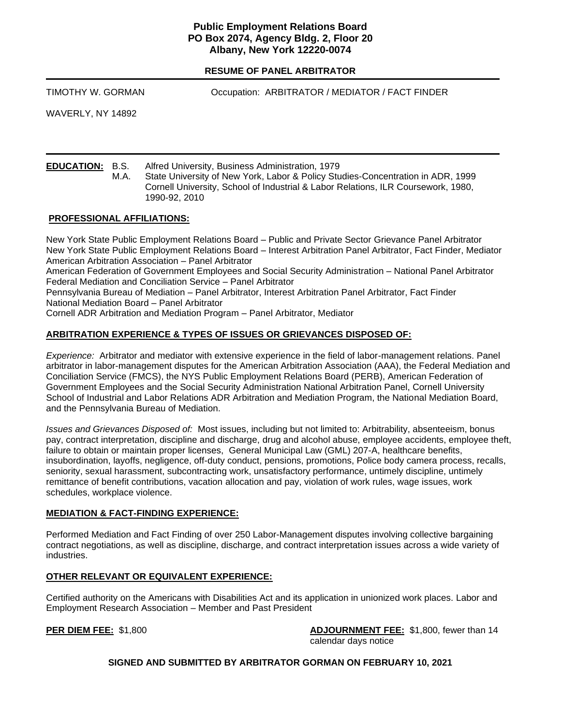### **Public Employment Relations Board PO Box 2074, Agency Bldg. 2, Floor 20 Albany, New York 12220-0074**

**RESUME OF PANEL ARBITRATOR**

TIMOTHY W. GORMAN Occupation: ARBITRATOR / MEDIATOR / FACT FINDER

WAVERLY, NY 14892

**EDUCATION:** B.S. Alfred University, Business Administration, 1979

M.A. State University of New York, Labor & Policy Studies-Concentration in ADR, 1999 Cornell University, School of Industrial & Labor Relations, ILR Coursework, 1980, 1990-92, 2010

### **PROFESSIONAL AFFILIATIONS:**

New York State Public Employment Relations Board – Public and Private Sector Grievance Panel Arbitrator New York State Public Employment Relations Board – Interest Arbitration Panel Arbitrator, Fact Finder, Mediator American Arbitration Association – Panel Arbitrator American Federation of Government Employees and Social Security Administration – National Panel Arbitrator Federal Mediation and Conciliation Service – Panel Arbitrator Pennsylvania Bureau of Mediation – Panel Arbitrator, Interest Arbitration Panel Arbitrator, Fact Finder National Mediation Board – Panel Arbitrator Cornell ADR Arbitration and Mediation Program – Panel Arbitrator, Mediator

## **ARBITRATION EXPERIENCE & TYPES OF ISSUES OR GRIEVANCES DISPOSED OF:**

*Experience:* Arbitrator and mediator with extensive experience in the field of labor-management relations. Panel arbitrator in labor-management disputes for the American Arbitration Association (AAA), the Federal Mediation and Conciliation Service (FMCS), the NYS Public Employment Relations Board (PERB), American Federation of Government Employees and the Social Security Administration National Arbitration Panel, Cornell University School of Industrial and Labor Relations ADR Arbitration and Mediation Program, the National Mediation Board, and the Pennsylvania Bureau of Mediation.

*Issues and Grievances Disposed of:* Most issues, including but not limited to: Arbitrability, absenteeism, bonus pay, contract interpretation, discipline and discharge, drug and alcohol abuse, employee accidents, employee theft, failure to obtain or maintain proper licenses, General Municipal Law (GML) 207-A, healthcare benefits, insubordination, layoffs, negligence, off-duty conduct, pensions, promotions, Police body camera process, recalls, seniority, sexual harassment, subcontracting work, unsatisfactory performance, untimely discipline, untimely remittance of benefit contributions, vacation allocation and pay, violation of work rules, wage issues, work schedules, workplace violence.

### **MEDIATION & FACT-FINDING EXPERIENCE:**

Performed Mediation and Fact Finding of over 250 Labor-Management disputes involving collective bargaining contract negotiations, as well as discipline, discharge, and contract interpretation issues across a wide variety of industries.

### **OTHER RELEVANT OR EQUIVALENT EXPERIENCE:**

Certified authority on the Americans with Disabilities Act and its application in unionized work places. Labor and Employment Research Association – Member and Past President

**PER DIEM FEE:** \$1,800 **ADJOURNMENT FEE:** \$1,800, fewer than 14 calendar days notice

### **SIGNED AND SUBMITTED BY ARBITRATOR GORMAN ON FEBRUARY 10, 2021**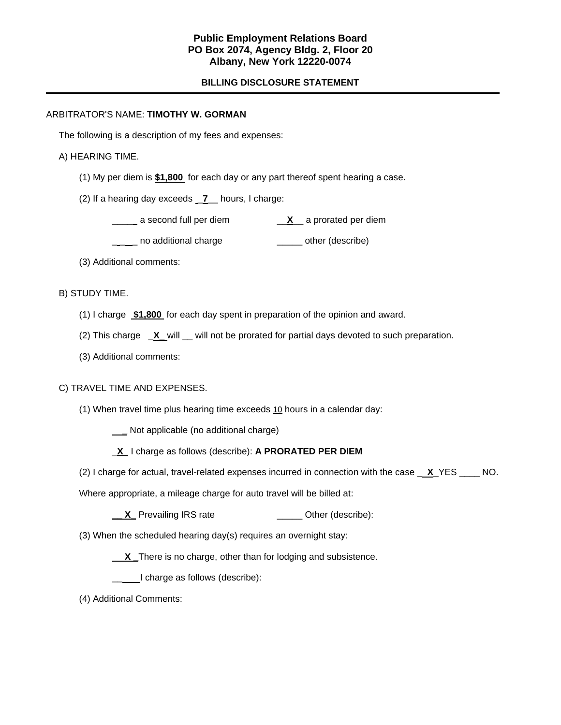### **Public Employment Relations Board PO Box 2074, Agency Bldg. 2, Floor 20 Albany, New York 12220-0074**

### **BILLING DISCLOSURE STATEMENT**

#### ARBITRATOR'S NAME: **TIMOTHY W. GORMAN**

The following is a description of my fees and expenses:

#### A) HEARING TIME.

- (1) My per diem is **\$1,800** for each day or any part thereof spent hearing a case.
- (2) If a hearing day exceeds \_**7**\_\_ hours, I charge:
	- \_\_\_\_a second full per diem \_\_**X**\_\_ a prorated per diem
	- \_ \_\_ no additional charge \_\_\_\_\_ other (describe)
- (3) Additional comments:

### B) STUDY TIME.

- (1) I charge **\$1,800** for each day spent in preparation of the opinion and award.
- (2) This charge \_**X\_** will \_\_ will not be prorated for partial days devoted to such preparation.
- (3) Additional comments:

### C) TRAVEL TIME AND EXPENSES.

(1) When travel time plus hearing time exceeds 10 hours in a calendar day:

 **\_** Not applicable (no additional charge)

- \_**X** I charge as follows (describe): **A PRORATED PER DIEM**
- (2) I charge for actual, travel-related expenses incurred in connection with the case \_ **X**\_YES \_\_\_\_ NO.

Where appropriate, a mileage charge for auto travel will be billed at:

- **X** Prevailing IRS rate \_\_\_\_\_\_\_\_\_\_\_\_\_\_\_\_ Other (describe):
- (3) When the scheduled hearing day(s) requires an overnight stay:
	- **X** There is no charge, other than for lodging and subsistence.
	- \_\_I charge as follows (describe):
- (4) Additional Comments: